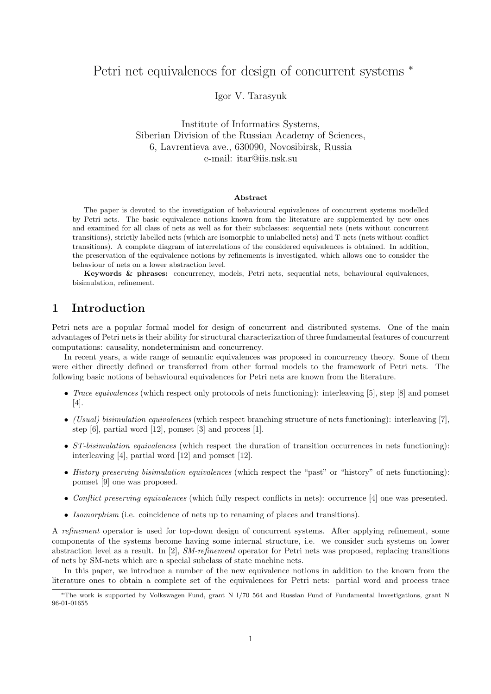# Petri net equivalences for design of concurrent systems  $*$

Igor V. Tarasyuk

Institute of Informatics Systems, Siberian Division of the Russian Academy of Sciences, 6, Lavrentieva ave., 630090, Novosibirsk, Russia e-mail: itar@iis.nsk.su

#### Abstract

The paper is devoted to the investigation of behavioural equivalences of concurrent systems modelled by Petri nets. The basic equivalence notions known from the literature are supplemented by new ones and examined for all class of nets as well as for their subclasses: sequential nets (nets without concurrent transitions), strictly labelled nets (which are isomorphic to unlabelled nets) and T-nets (nets without conflict transitions). A complete diagram of interrelations of the considered equivalences is obtained. In addition, the preservation of the equivalence notions by refinements is investigated, which allows one to consider the behaviour of nets on a lower abstraction level.

Keywords & phrases: concurrency, models, Petri nets, sequential nets, behavioural equivalences, bisimulation, refinement.

# 1 Introduction

Petri nets are a popular formal model for design of concurrent and distributed systems. One of the main advantages of Petri nets is their ability for structural characterization of three fundamental features of concurrent computations: causality, nondeterminism and concurrency.

In recent years, a wide range of semantic equivalences was proposed in concurrency theory. Some of them were either directly defined or transferred from other formal models to the framework of Petri nets. The following basic notions of behavioural equivalences for Petri nets are known from the literature.

- Trace equivalences (which respect only protocols of nets functioning): interleaving [5], step [8] and pomset [4].
- (Usual) bisimulation equivalences (which respect branching structure of nets functioning): interleaving [7], step [6], partial word [12], pomset [3] and process [1].
- ST-bisimulation equivalences (which respect the duration of transition occurrences in nets functioning): interleaving [4], partial word [12] and pomset [12].
- History preserving bisimulation equivalences (which respect the "past" or "history" of nets functioning): pomset [9] one was proposed.
- Conflict preserving equivalences (which fully respect conflicts in nets): occurrence [4] one was presented.
- Isomorphism (i.e. coincidence of nets up to renaming of places and transitions).

A refinement operator is used for top-down design of concurrent systems. After applying refinement, some components of the systems become having some internal structure, i.e. we consider such systems on lower abstraction level as a result. In [2], SM-refinement operator for Petri nets was proposed, replacing transitions of nets by SM-nets which are a special subclass of state machine nets.

In this paper, we introduce a number of the new equivalence notions in addition to the known from the literature ones to obtain a complete set of the equivalences for Petri nets: partial word and process trace

<sup>∗</sup>The work is supported by Volkswagen Fund, grant N I/70 564 and Russian Fund of Fundamental Investigations, grant N 96-01-01655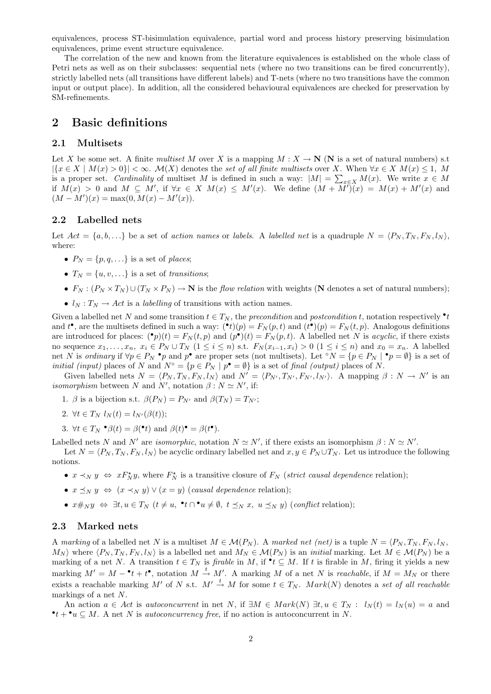equivalences, process ST-bisimulation equivalence, partial word and process history preserving bisimulation equivalences, prime event structure equivalence.

The correlation of the new and known from the literature equivalences is established on the whole class of Petri nets as well as on their subclasses: sequential nets (where no two transitions can be fired concurrently), strictly labelled nets (all transitions have different labels) and T-nets (where no two transitions have the common input or output place). In addition, all the considered behavioural equivalences are checked for preservation by SM-refinements.

# 2 Basic definitions

### 2.1 Multisets

Let X be some set. A finite multiset M over X is a mapping  $M : X \to \mathbb{N}$  (N is a set of natural numbers) s.t.  $|{x \in X \mid M(x) > 0}\| < \infty$ .  $\mathcal{M}(X)$  denotes the set of all finite multisets over X. When  $\forall x \in X \ M(x) \leq 1$ , M  $\left|\left\{x \in X \mid M(x) > 0\right\}\right|$  < ∞.  $\mathcal{M}(X)$  denotes the set of all finite matrices over  $X$ . When  $\forall x \in X$   $M(x) \le 1$ ,  $M$  is a proper set. Cardinality of multiset  $M$  is defined in such a way:  $|M| = \sum_{x \in X} M(x)$ . We write if  $M(x) > 0$  and  $M \subseteq M'$ , if  $\forall x \in X$   $M(x) \leq M'(x)$ . We define  $(M + \overline{M'})(x) = M(x) + M'(x)$  and  $(M - M')(x) = \max(0, M(x) - M'(x)).$ 

## 2.2 Labelled nets

Let  $Act = \{a, b, \ldots\}$  be a set of action names or labels. A labelled net is a quadruple  $N = \langle P_N, T_N, F_N, l_N \rangle$ , where:

- $P_N = \{p, q, \ldots\}$  is a set of places;
- $T_N = \{u, v, \ldots\}$  is a set of transitions;
- $F_N : (P_N \times T_N) \cup (T_N \times P_N) \to \mathbb{N}$  is the *flow relation* with weights (N denotes a set of natural numbers);
- $l_N : T_N \to Act$  is a *labelling* of transitions with action names.

Given a labelled net N and some transition  $t \in T_N$ , the precondition and postcondition t, notation respectively  $\cdot t$ and  $t^{\bullet}$ , are the multisets defined in such a way:  $({\bullet} t)(p) = F_N(p, t)$  and  $(t^{\bullet})(p) = F_N(t, p)$ . Analogous definitions are introduced for places:  $\binom{\bullet}{p}(t) = F_N(t, p)$  and  $\binom{\bullet}{p}(t) = F_N(p, t)$ . A labelled net N is *acyclic*, if there exists no sequence  $x_1, \ldots, x_n, x_i \in P_N \cup T_N$   $(1 \leq i \leq n)$  s.t.  $F_N(x_{i-1}, x_i) > 0$   $(1 \leq i \leq n)$  and  $x_0 = x_n$ . A labelled net N is ordinary if  $\forall p \in P_N \cdot p$  and  $p^{\bullet}$  are proper sets (not multisets). Let °N = { $p \in P_N \mid \bullet p = \emptyset$ } is a set of *initial (input)* places of N and  $N^{\circ} = \{p \in P_N \mid p^{\bullet} = \emptyset\}$  is a set of final *(output)* places of N.

Given labelled nets  $N = \langle P_N, T_N, F_N, l_N \rangle$  and  $N' = \langle P_{N'}, T_{N'}, F_{N'}, l_{N'} \rangle$ . A mapping  $\beta : N \to N'$  is an *isomorphism* between N and N', notation  $\beta : N \simeq N'$ , if:

- 1. β is a bijection s.t.  $\beta(P_N) = P_{N'}$  and  $\beta(T_N) = T_{N'}$ ;
- 2.  $\forall t \in T_N$   $l_N(t) = l_{N'}(\beta(t));$
- 3.  $\forall t \in T_N \bullet \beta(t) = \beta(\bullet t) \text{ and } \beta(t) \bullet \beta(t).$

Labelled nets N and N' are isomorphic, notation  $N \simeq N'$ , if there exists an isomorphism  $\beta : N \simeq N'$ .

Let  $N = \langle P_N, T_N, F_N, l_N \rangle$  be acyclic ordinary labelled net and  $x, y \in P_N \cup T_N$ . Let us introduce the following notions.

- $x \prec_N y \Leftrightarrow x F_N^* y$ , where  $F_N^*$  is a transitive closure of  $F_N$  (strict causal dependence relation);
- $x \preceq_N y \Leftrightarrow (x \prec_N y) \vee (x = y)$  (causal dependence relation);
- $x \#_N y \Leftrightarrow \exists t, u \in T_N$   $(t \neq u, \neg t \cap \neg u \neq \emptyset, t \preceq_N x, u \preceq_N y)$  (conflict relation);

# 2.3 Marked nets

A marking of a labelled net N is a multiset  $M \in \mathcal{M}(P_N)$ . A marked net (net) is a tuple  $N = \langle P_N, T_N, F_N, l_N, \rangle$  $M_N$ ) where  $\langle P_N , T_N , F_N , l_N \rangle$  is a labelled net and  $M_N \in \mathcal{M}(P_N)$  is an *initial* marking. Let  $M \in \mathcal{M}(P_N)$  be a marking of a net N. A transition  $t \in T_N$  is *firable* in M, if  $\mathbf{t} \subseteq M$ . If t is firable in M, firing it yields a new marking  $M' = M - \cdot t + t^{\bullet}$ , notation  $M \stackrel{t}{\rightarrow} M'$ . A marking M of a net N is reachable, if  $M = M_N$  or there exists a reachable marking M' of N s.t.  $M' \stackrel{t}{\rightarrow} M$  for some  $t \in T_N$ . Mark $(N)$  denotes a set of all reachable markings of a net N.

An action  $a \in Act$  is autoconcurrent in net N, if  $\exists M \in Mark(N) \; \exists t, u \in T_N : l_N(t) = l_N(u) = a$  and  $\bullet t + \bullet u \subseteq M$ . A net N is *autoconcurrency free*, if no action is autoconcurrent in N.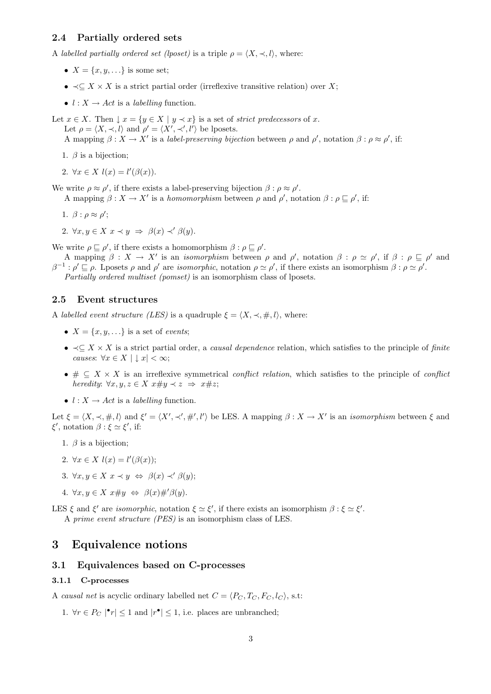# 2.4 Partially ordered sets

A labelled partially ordered set (lposet) is a triple  $\rho = \langle X, \prec, l \rangle$ , where:

- $X = \{x, y, \ldots\}$  is some set;
- $\prec$  $\subset$  X  $\times$  X is a strict partial order (irreflexive transitive relation) over X;
- $l : X \rightarrow Act$  is a *labelling* function.

Let  $x \in X$ . Then  $\downarrow x = \{y \in X \mid y \prec x\}$  is a set of *strict predecessors* of x. Let  $\rho = \langle X, \prec, l \rangle$  and  $\rho' = \langle X', \prec', l' \rangle$  be lposets.

A mapping  $\beta: X \to X'$  is a label-preserving bijection between  $\rho$  and  $\rho'$ , notation  $\beta: \rho \approx \rho'$ , if:

1.  $\beta$  is a bijection;

2.  $\forall x \in X$   $l(x) = l'(\beta(x)).$ 

We write  $\rho \approx \rho'$ , if there exists a label-preserving bijection  $\beta : \rho \approx \rho'$ . A mapping  $\beta: X \to X'$  is a homomorphism between  $\rho$  and  $\rho'$ , notation  $\beta: \rho \sqsubseteq \rho'$ , if:

- 1.  $\beta$  :  $\rho \approx \rho'$ ;
- 2.  $\forall x, y \in X \ x \prec y \Rightarrow \beta(x) \prec' \beta(y)$ .

We write  $\rho \sqsubseteq \rho'$ , if there exists a homomorphism  $\beta : \rho \sqsubseteq \rho'$ .

A mapping  $\beta: X \to X'$  is an *isomorphism* between  $\rho$  and  $\rho'$ , notation  $\beta: \rho \simeq \rho'$ , if  $\beta: \rho \sqsubseteq \rho'$  and  $\beta^{-1}$ :  $\rho' \sqsubseteq \rho$ . Lposets  $\rho$  and  $\rho'$  are *isomorphic*, notation  $\rho \simeq \rho'$ , if there exists an isomorphism  $\beta : \rho \simeq \rho'$ . Partially ordered multiset (pomset) is an isomorphism class of lposets.

#### 2.5 Event structures

A labelled event structure (LES) is a quadruple  $\xi = \langle X, \prec, \#, l \rangle$ , where:

- $X = \{x, y, \ldots\}$  is a set of events;
- $\prec \subseteq X \times X$  is a strict partial order, a *causal dependence* relation, which satisfies to the principle of *finite* causes:  $\forall x \in X \mid x < \infty;$
- $\# \subseteq X \times X$  is an irreflexive symmetrical *conflict relation*, which satisfies to the principle of *conflict* heredity:  $\forall x, y, z \in X \ x \# y \prec z \Rightarrow x \# z$ ;
- $l : X \rightarrow Act$  is a *labelling* function.

Let  $\xi = \langle X, \prec, \#, l \rangle$  and  $\xi' = \langle X', \prec', \#', l' \rangle$  be LES. A mapping  $\beta : X \to X'$  is an *isomorphism* between  $\xi$  and  $\xi'$ , notation  $\beta : \xi \simeq \xi'$ , if:

- 1.  $\beta$  is a bijection;
- 2.  $\forall x \in X \; l(x) = l'(\beta(x));$
- 3.  $\forall x, y \in X \ x \prec y \Leftrightarrow \beta(x) \prec' \beta(y);$
- 4.  $\forall x, y \in X \ x \# y \Leftrightarrow \beta(x) \#' \beta(y)$ .

LES  $\xi$  and  $\xi'$  are *isomorphic*, notation  $\xi \simeq \xi'$ , if there exists an isomorphism  $\beta : \xi \simeq \xi'$ . A prime event structure (PES) is an isomorphism class of LES.

# 3 Equivalence notions

# 3.1 Equivalences based on C-processes

# 3.1.1 C-processes

A causal net is acyclic ordinary labelled net  $C = \langle P_C, T_C, F_C, l_C \rangle$ , s.t:

1.  $\forall r \in P_C \mid \mathbf{r} \leq 1$  and  $\vert r^{\bullet} \vert \leq 1$ , i.e. places are unbranched;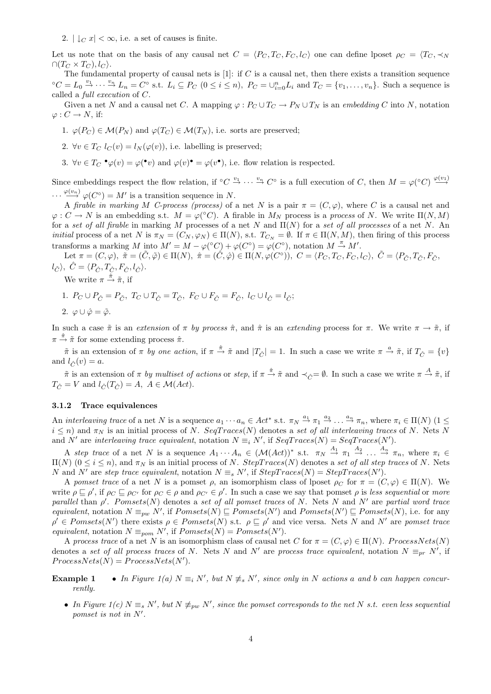2.  $|\bigcup_{C} x| < \infty$ , i.e. a set of causes is finite.

Let us note that on the basis of any causal net  $C = \langle P_C, T_C, F_C, l_C \rangle$  one can define lposet  $\rho_C = \langle T_C, \prec_N \rangle$  $\cap (T_C \times T_C), l_C$ .

The fundamental property of causal nets is [1]: if C is a causal net, then there exists a transition sequence  ${}^{\circ}C = L_0 \stackrel{v_1}{\rightarrow} \cdots \stackrel{v_n}{\rightarrow} L_n = C^{\circ}$  s.t.  $L_i \subseteq P_C$   $(0 \leq i \leq n)$ ,  $P_C = \bigcup_{i=0}^n L_i$  and  $T_C = \{v_1, \ldots, v_n\}$ . Such a sequence is called a full execution of C.

Given a net N and a causal net C. A mapping  $\varphi: P_C \cup T_C \to P_N \cup T_N$  is an embedding C into N, notation  $\varphi: C \to N$ , if:

- 1.  $\varphi(P_C) \in \mathcal{M}(P_N)$  and  $\varphi(T_C) \in \mathcal{M}(T_N)$ , i.e. sorts are preserved;
- 2.  $\forall v \in T_C$   $l_C(v) = l_N(\varphi(v))$ , i.e. labelling is preserved;
- 3.  $\forall v \in T_C \cdot \varphi(v) = \varphi(\cdot v)$  and  $\varphi(v) \cdot \varphi(v)$ , i.e. flow relation is respected.

Since embeddings respect the flow relation, if  ${}^{\circ}C \stackrel{v_1}{\rightarrow} \cdots \stackrel{v_n}{\rightarrow} C^{\circ}$  is a full execution of C, then  $M = \varphi({}^{\circ}C) \stackrel{\varphi(v_1)}{\rightarrow} C^{\circ}$  $\cdots \stackrel{\varphi(v_n)}{\longrightarrow} \varphi(C^{\circ}) = M'$  is a transition sequence in N.

A firable in marking M C-process (process) of a net N is a pair  $\pi = (C, \varphi)$ , where C is a causal net and  $\varphi: C \to N$  is an embedding s.t.  $M = \varphi({}^{\circ}C)$ . A firable in  $M_N$  process is a process of N. We write  $\Pi(N,M)$ for a set of all firable in marking M processes of a net N and  $\Pi(N)$  for a set of all processes of a net N. An *initial* process of a net N is  $\pi_N = (C_N, \varphi_N) \in \Pi(N)$ , s.t.  $T_{C_N} = \emptyset$ . If  $\pi \in \Pi(N, M)$ , then firing of this process transforms a marking M into  $M' = M - \varphi({}^{\circ}C) + \varphi(C^{\circ}) = \varphi(C^{\circ})$ , notation  $M \stackrel{\pi}{\to} M'$ .

Let  $\pi = (C, \varphi), \ \tilde{\pi} = (\tilde{C}, \tilde{\varphi}) \in \Pi(N), \ \hat{\pi} = (\tilde{C}, \hat{\varphi}) \in \Pi(N, \varphi(C^{\circ})), \ C = \langle P_C, T_C, F_C, l_C \rangle, \ \tilde{C} = \langle P_{\tilde{C}}, T_{\tilde{C}}, F_{\tilde{C}},$  $l_{\tilde{C}}\rangle, \ \hat{C} = \langle P_{\hat{C}}, T_{\hat{C}}, F_{\hat{C}}, l_{\hat{C}}\rangle.$ 

We write  $\pi \stackrel{\hat{\pi}}{\rightarrow} \tilde{\pi}$ , if

1.  $P_C \cup P_{\hat{C}} = P_{\tilde{C}}, T_C \cup T_{\hat{C}} = T_{\tilde{C}}, F_C \cup F_{\hat{C}} = F_{\tilde{C}}, l_C \cup l_{\hat{C}} = l_{\tilde{C}};$ 

$$
2. \varphi \cup \hat{\varphi} = \tilde{\varphi}.
$$

In such a case  $\tilde{\pi}$  is an extension of  $\pi$  by process  $\hat{\pi}$ , and  $\hat{\pi}$  is an extending process for  $\pi$ . We write  $\pi \to \tilde{\pi}$ , if  $\pi \stackrel{\hat{\pi}}{\rightarrow} \tilde{\pi}$  for some extending process  $\hat{\pi}$ .

 $\tilde{\pi}$  is an extension of  $\pi$  by one action, if  $\pi \stackrel{\hat{\pi}}{\rightarrow} \tilde{\pi}$  and  $|T_{\hat{C}}| = 1$ . In such a case we write  $\pi \stackrel{a}{\rightarrow} \tilde{\pi}$ , if  $T_{\hat{C}} = \{v\}$ and  $l_{\hat{C}}(v) = a$ .

 $\tilde{\pi}$  is an extension of  $\pi$  by multiset of actions or step, if  $\pi \stackrel{\hat{\pi}}{\to} \tilde{\pi}$  and  $\prec_{\hat{C}} = \emptyset$ . In such a case we write  $\pi \stackrel{A}{\to} \tilde{\pi}$ , if  $T_{\hat{C}} = V$  and  $l_{\hat{C}}(T_{\hat{C}}) = A, A \in \mathcal{M}(Act)$ .

#### 3.1.2 Trace equivalences

An *interleaving trace* of a net N is a sequence  $a_1 \cdots a_n \in Act^*$  s.t.  $\pi_N \stackrel{a_1}{\rightarrow} \pi_1 \stackrel{a_2}{\rightarrow} \ldots \stackrel{a_n}{\rightarrow} \pi_n$ , where  $\pi_i \in \Pi(N)$   $(1 \leq$  $i \leq n$ ) and  $\pi_N$  is an initial process of N. SeqT races(N) denotes a set of all interleaving traces of N. Nets N and N' are interleaving trace equivalent, notation  $N \equiv_i N'$ , if  $SeqTrace(N) = SeqTrace(N')$ .

A step trace of a net N is a sequence  $A_1 \cdots A_n \in (\mathcal{M}(Act))^*$  s.t.  $\pi_N \stackrel{A_1}{\rightarrow} \pi_1 \stackrel{A_2}{\rightarrow} \ldots \stackrel{A_n}{\rightarrow} \pi_n$ , where  $\pi_i \in$  $\Pi(N)$  (0 ≤ i ≤ n), and π<sub>N</sub> is an initial process of N. StepTraces(N) denotes a set of all step traces of N. Nets N and N' are step trace equivalent, notation  $N \equiv_s N'$ , if  $StepTrace(N) = StepTrace(N')$ .

A pomset trace of a net N is a pomset  $\rho$ , an isomorphism class of lposet  $\rho_C$  for  $\pi = (C, \varphi) \in \Pi(N)$ . We write  $\rho \subseteq \rho'$ , if  $\rho_C \subseteq \rho_{C'}$  for  $\rho_C \in \rho$  and  $\rho_{C'} \in \rho'$ . In such a case we say that pomset  $\rho$  is less sequential or more parallel than  $\rho'$ . Pomsets(N) denotes a set of all pomset traces of N. Nets N and N' are partial word trace equivalent, notation  $N \equiv_{pw} N'$ , if  $Pomsets(N) \sqsubseteq Pomsets(N')$  and  $Pomsets(N') \sqsubseteq Pomsets(N)$ , i.e. for any  $\rho' \in P \text{omsets}(N')$  there exists  $\rho \in P \text{omsets}(N)$  s.t.  $\rho \subseteq \rho'$  and vice versa. Nets N and N' are pomset trace equivalent, notation  $N \equiv_{\text{pom}} N'$ , if  $Pomsets(N) = Pomsets(N')$ .

A process trace of a net N is an isomorphism class of causal net C for  $\pi = (C, \varphi) \in \Pi(N)$ . ProcessNets(N) denotes a set of all process traces of N. Nets N and N' are process trace equivalent, notation  $N \equiv_{pr} N'$ , if  $ProcessNets(N) = ProcessNets(N').$ 

- **Example 1** In Figure 1(a)  $N \equiv_i N'$ , but  $N \not\equiv_s N'$ , since only in N actions a and b can happen concurrently.
	- In Figure  $1(c)$   $N \equiv_{s} N'$ , but  $N \not\equiv_{pw} N'$ , since the pomset corresponds to the net N s.t. even less sequential pomset is not in  $N'.$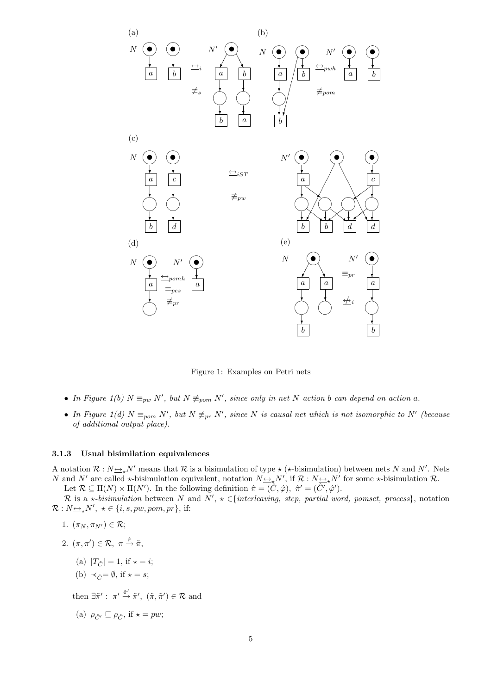

Figure 1: Examples on Petri nets

- In Figure 1(b)  $N \equiv_{pw} N'$ , but  $N \not\equiv_{pom} N'$ , since only in net N action b can depend on action a.
- In Figure 1(d)  $N \equiv_{\text{pom}} N'$ , but  $N \not\equiv_{\text{pr}} N'$ , since N is causal net which is not isomorphic to N' (because of additional output place).

#### 3.1.3 Usual bisimilation equivalences

A notation  $\mathcal{R}: N \to N'$  means that  $\mathcal{R}$  is a bisimulation of type  $\star$  ( $\star$ -bisimulation) between nets N and N'. Nets N and N' are called  $\star$ -bisimulation equivalent, notation  $N_{\frac{\leftrightarrow}{\star}}N'$ , if  $\mathcal{R}: N_{\frac{\leftrightarrow}{\star}}N'$  for some  $\star$ -bisimulation  $\mathcal{R}$ . Let  $\mathcal{R} \subseteq \Pi(N) \times \Pi(N')$ . In the following definition  $\hat{\pi} = (\hat{C}, \hat{\varphi})$ ,  $\hat{\pi}' = (\hat{C}', \hat{\varphi}')$ .

R is a  $\star$ -bisimulation between N and N',  $\star \in \{interleaving, step, partial word, pomset, process\}$ , notation  $\mathcal{R}: N_{\underline{\leftrightarrow}_*}N', \star \in \{i, s, pw, pom, pr\}, \text{ if: }$ 

- 1.  $(\pi_N, \pi_{N'}) \in \mathcal{R};$
- 2.  $(\pi, \pi') \in \mathcal{R}, \pi \stackrel{\hat{\pi}}{\rightarrow} \tilde{\pi},$ 
	- (a)  $|T_{\hat{C}}| = 1$ , if  $\star = i$ ;
	- (b)  $\prec_{\hat{C}} = \emptyset$ , if  $\star = s$ ;

then  $\exists \tilde{\pi}' : \pi' \stackrel{\hat{\pi}'}{\rightarrow} \tilde{\pi}', \ (\tilde{\pi}, \tilde{\pi}') \in \mathcal{R}$  and

(a) 
$$
\rho_{\hat{C}'} \sqsubseteq \rho_{\hat{C}}
$$
, if  $\star = pw$ ;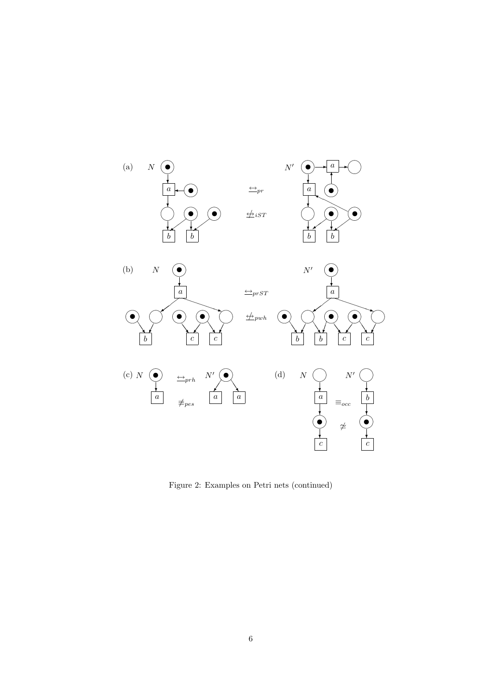

Figure 2: Examples on Petri nets (continued)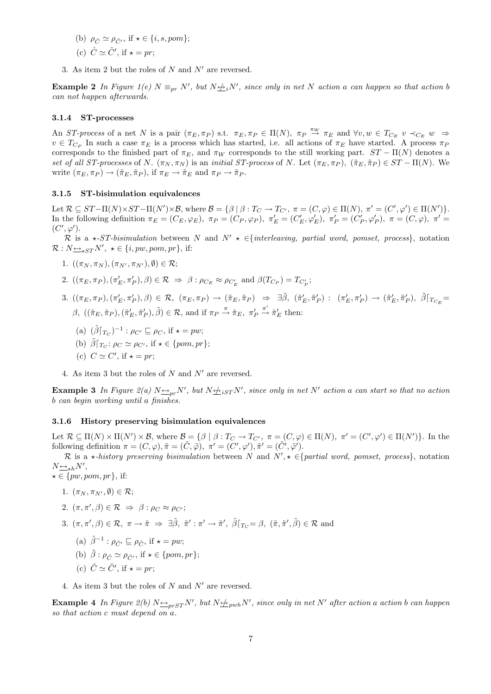- (b)  $\rho_{\hat{C}} \simeq \rho_{\hat{C}'}$ , if  $\star \in \{i, s, pom\};$ (c)  $\hat{C} \simeq \hat{C}'$ , if  $\star = pr$ ;
- 3. As item 2 but the roles of N and  $N'$  are reversed.

**Example 2** In Figure 1(e)  $N \equiv_{pr} N'$ , but  $N \not\rightleftharpoons_{i} N'$ , since only in net N action a can happen so that action b can not happen afterwards.

#### 3.1.4 ST-processes

An ST-process of a net N is a pair  $(\pi_E, \pi_P)$  s.t.  $\pi_E, \pi_P \in \Pi(N)$ ,  $\pi_P \stackrel{\pi_W}{\to} \pi_E$  and  $\forall v, w \in T_{C_E}$   $v \prec_{C_E} w \Rightarrow$  $v \in T_{C_P}$  In such a case  $\pi_E$  is a process which has started, i.e. all actions of  $\pi_E$  have started. A process  $\pi_F$ corresponds to the finished part of  $\pi_E$ , and  $\pi_W$  corresponds to the still working part.  $ST - \Pi(N)$  denotes a set of all ST-processes of N.  $(\pi_N, \pi_N)$  is an initial ST-process of N. Let  $(\pi_E, \pi_P)$ ,  $(\tilde{\pi}_E, \tilde{\pi}_P) \in ST - \Pi(N)$ . We write  $(\pi_E, \pi_P) \to (\tilde{\pi}_E, \tilde{\pi}_P)$ , if  $\pi_E \to \tilde{\pi}_E$  and  $\pi_P \to \tilde{\pi}_P$ .

#### 3.1.5 ST-bisimulation equivalences

Let  $\mathcal{R} \subseteq ST-\Pi(N) \times ST-\Pi(N') \times \mathcal{B}$ , where  $\mathcal{B} = \{ \beta \mid \beta : T_C \to T_{C'} , \ \pi = (C, \varphi) \in \Pi(N) , \ \pi' = (C', \varphi') \in \Pi(N') \}.$ In the following definition  $\pi_E = (C_E, \varphi_E)$ ,  $\pi_P = (C_P, \varphi_P)$ ,  $\pi'_E = (C'_E, \varphi'_E)$ ,  $\pi'_P = (C'_P, \varphi'_P)$ ,  $\pi = (C, \varphi)$ ,  $\pi' =$  $(C',\varphi')$ .

R is a  $\star$ -ST-bisimulation between N and N'  $\star \in \{interleaving, partial word, pomset, process\}$ , notation  $\mathcal{R}: N_{\frac{\longleftrightarrow}{\star} ST} N', \star \in \{i, pw, pom, pr\}, \text{ if: }$ 

- 1.  $((\pi_N, \pi_N), (\pi_{N'}, \pi_{N'}), \emptyset) \in \mathcal{R};$
- 2.  $((\pi_E, \pi_P), (\pi'_E, \pi'_P), \beta) \in \mathcal{R} \Rightarrow \beta : \rho_{C_E} \approx \rho_{C'_E}$  and  $\beta(T_{C_P}) = T_{C'_P};$
- $3. \; ((\pi_E, \pi_P), (\pi'_E, \pi'_P), \beta) \in \mathcal{R}, \; (\pi_E, \pi_P) \; \rightarrow \; (\tilde{\pi}_E, \tilde{\pi}_P) \; \Rightarrow \; \exists \tilde{\beta}, \; (\tilde{\pi}'_E, \tilde{\pi}'_P) \; : \; (\pi'_E, \pi'_P) \rightarrow (\tilde{\pi}'_E, \tilde{\pi}'_P), \; \tilde{\beta} \vert_{T_{C_E}} = 0$ β,  $((\tilde{\pi}_E, \tilde{\pi}_P), (\tilde{\pi}'_E, \tilde{\pi}'_P), \tilde{\beta}) \in \mathcal{R}$ , and if  $\pi_P \stackrel{\pi}{\rightarrow} \tilde{\pi}_E, \pi'_F$  $\stackrel{\pi'}{\rightarrow} \tilde{\pi}'_E$  then:
	- (a)  $(\tilde{\beta}\vert_{T_C})^{-1}$ :  $\rho_{C'} \sqsubseteq \rho_C$ , if  $\star = pw$ ;
	- (b)  $\tilde{\beta}|_{T_C}: \rho_C \simeq \rho_{C'}$ , if  $\star \in \{pom, pr\};$
	- (c)  $C \simeq C'$ , if  $\star = pr$ ;
- 4. As item 3 but the roles of  $N$  and  $N'$  are reversed.

**Example 3** In Figure 2(a)  $N \triangleq_{pr} N'$ , but  $N \triangleq_{iST} N'$ , since only in net N' action a can start so that no action b can begin working until a finishes.

### 3.1.6 History preserving bisimulation equivalences

Let  $\mathcal{R} \subseteq \Pi(N) \times \Pi(N') \times \mathcal{B}$ , where  $\mathcal{B} = \{\beta \mid \beta : T_C \to T_{C'}$ ,  $\pi = (C, \varphi) \in \Pi(N)$ ,  $\pi' = (C', \varphi') \in \Pi(N')\}$ . In the following definition  $\pi = (C, \varphi), \tilde{\pi} = (\tilde{C}, \tilde{\varphi}), \pi' = (\tilde{C}', \varphi'), \tilde{\pi}' = (\tilde{C}', \tilde{\varphi}').$ 

R is a  $\star$ -history preserving bisimulation between N and  $N', \star \in$ {partial word, pomset, process}, notation  $N \underline{\leftrightarrow}_{\star h} N'$ ,

 $\star \in \{pw, pom, pr\},\$ if:

- 1.  $(\pi_N, \pi_{N'}, \emptyset) \in \mathcal{R};$
- 2.  $(\pi, \pi', \beta) \in \mathcal{R} \Rightarrow \beta : \rho_C \approx \rho_{C'};$
- 3.  $(\pi, \pi', \beta) \in \mathcal{R}, \ \pi \to \tilde{\pi} \Rightarrow \exists \tilde{\beta}, \ \tilde{\pi}' : \pi' \to \tilde{\pi}', \ \tilde{\beta} \vert_{T_C} = \beta, \ (\tilde{\pi}, \tilde{\pi}', \tilde{\beta}) \in \mathcal{R} \text{ and }$ 
	- (a)  $\tilde{\beta}^{-1}$ :  $\rho_{\tilde{C}'} \sqsubseteq \rho_{\tilde{C}}$ , if  $\star = pw$ ;
	- (b)  $\tilde{\beta}$  :  $\rho_{\tilde{C}} \simeq \rho_{\tilde{C}}$ , if  $\star \in \{pom, pr\};$
	- (c)  $\tilde{C} \simeq \tilde{C}'$ , if  $\star = pr$ ;
- 4. As item 3 but the roles of N and  $N'$  are reversed.

**Example 4** In Figure 2(b)  $N \triangleq_{prST} N'$ , but  $N \triangleq_{pwh} N'$ , since only in net N' after action a action b can happen so that action c must depend on a.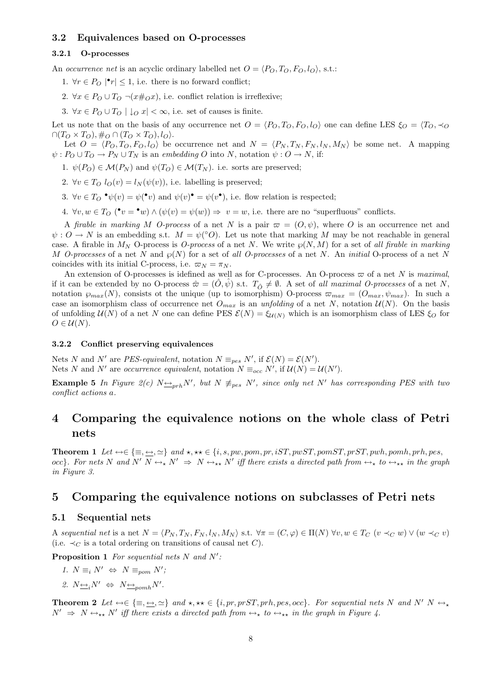# 3.2 Equivalences based on O-processes

### 3.2.1 O-processes

An *occurrence net* is an acyclic ordinary labelled net  $O = \langle P_O, T_O, F_O, l_O \rangle$ , s.t.:

- 1.  $\forall r \in P_O \mid \mathbf{r} \leq 1$ , i.e. there is no forward conflict;
- 2.  $\forall x \in P_O \cup T_O \neg (x \#_O x)$ , i.e. conflict relation is irreflexive;
- 3.  $\forall x \in P_O \cup T_O \mid \downarrow_O x \mid \leq \infty$ , i.e. set of causes is finite.

Let us note that on the basis of any occurrence net  $O = \langle P_O, T_O, F_O, l_O \rangle$  one can define LES  $\xi_O = \langle T_O, \prec_O \rangle$  $\cap (T_O \times T_O), \#_O \cap (T_O \times T_O), l_O$ .

Let  $O = \langle P_O, T_O, F_O, l_O \rangle$  be occurrence net and  $N = \langle P_N, T_N, F_N, l_N, M_N \rangle$  be some net. A mapping  $\psi: P_O \cup T_O \to P_N \cup T_N$  is an embedding O into N, notation  $\psi: O \to N$ , if:

1.  $\psi(P_O) \in \mathcal{M}(P_N)$  and  $\psi(T_O) \in \mathcal{M}(T_N)$ . i.e. sorts are preserved;

- 2.  $\forall v \in T_O$   $l_O(v) = l_N(\psi(v))$ , i.e. labelling is preserved;
- 3.  $\forall v \in T_O \bullet \psi(v) = \psi(\bullet v)$  and  $\psi(v) \bullet \psi(v)$ , i.e. flow relation is respected;
- 4.  $\forall v, w \in T_O$  ( $\bullet v = \bullet w$ )  $\land (\psi(v) = \psi(w)) \Rightarrow v = w$ , i.e. there are no "superfluous" conflicts.

A firable in marking M O-process of a net N is a pair  $\varpi = (O, \psi)$ , where O is an occurrence net and  $\psi: O \to N$  is an embedding s.t.  $M = \psi(^{\circ}O)$ . Let us note that marking M may be not reachable in general case. A firable in  $M_N$  O-process is *O-process* of a net N. We write  $\wp(N, M)$  for a set of all firable in marking M O-processes of a net N and  $\wp(N)$  for a set of all O-processes of a net N. An initial O-process of a net N coincides with its initial C-process, i.e.  $\varpi_N = \pi_N$ .

An extension of O-processes is idefined as well as for C-processes. An O-process  $\varpi$  of a net N is maximal, if it can be extended by no O-process  $\hat{\varpi} = (\hat{O}, \hat{\psi})$  s.t.  $T_{\hat{O}} \neq \emptyset$ . A set of all maximal O-processes of a net N, notation  $\wp_{max}(N)$ , consists ot the unique (up to isomorphism) O-process  $\varpi_{max} = (O_{max}, \psi_{max})$ . In such a case an isomorphism class of occurrence net  $O_{max}$  is an unfolding of a net N, notation  $U(N)$ . On the basis of unfolding  $U(N)$  of a net N one can define PES  $\mathcal{E}(N) = \xi_{U(N)}$  which is an isomorphism class of LES  $\xi_O$  for  $O \in \mathcal{U}(N)$ .

#### 3.2.2 Conflict preserving equivalences

Nets N and N' are PES-equivalent, notation  $N \equiv_{pes} N'$ , if  $\mathcal{E}(N) = \mathcal{E}(N')$ . Nets N and N' are *occurrence equivalent*, notation  $N \equiv_{occ} N'$ , if  $U(N) = U(N')$ .

**Example 5** In Figure 2(c)  $N \rightarrow p_{rrh}N'$ , but  $N \neq_{pes} N'$ , since only net N' has corresponding PES with two conflict actions a.

# 4 Comparing the equivalence notions on the whole class of Petri nets

Theorem 1 Let ↔∈ {≡, ↔, '} and ?, ?? ∈ {i, s, pw, pom, pr, iST, pwST, pomST, prST, pwh, pomh, prh, pes, occ}. For nets N and N'  $N \leftrightarrow_{\star} N' \Rightarrow N \leftrightarrow_{\star \star} N'$  iff there exists a directed path from  $\leftrightarrow_{\star}$  to  $\leftrightarrow_{\star \star}$  in the graph in Figure 3.

# 5 Comparing the equivalence notions on subclasses of Petri nets

### 5.1 Sequential nets

A sequential net is a net  $N = \langle P_N, T_N, F_N, l_N, M_N \rangle$  s.t.  $\forall \pi = (C, \varphi) \in \Pi(N)$   $\forall v, w \in T_C$   $(v \prec_C w) \vee (w \prec_C v)$ (i.e.  $\prec_C$  is a total ordering on transitions of causal net C).

**Proposition 1** For sequential nets  $N$  and  $N'$ :

- 1.  $N \equiv_i N' \Leftrightarrow N \equiv_{\text{pom}} N'$ ;
- 2.  $N \leftrightarrow N \leftrightarrow N \leftrightarrow_{pomh} N'$ .

**Theorem 2** Let  $\leftrightarrow \in \{\equiv, \leftrightarrow, \simeq\}$  and  $\star, \star \in \{i, pr, prST, prh, pes, occ\}$ . For sequential nets N and N' N  $\leftrightarrow$  $N' \Rightarrow N \leftrightarrow_{**} N'$  iff there exists a directed path from  $\leftrightarrow_{*}$  to  $\leftrightarrow_{**}$  in the graph in Figure 4.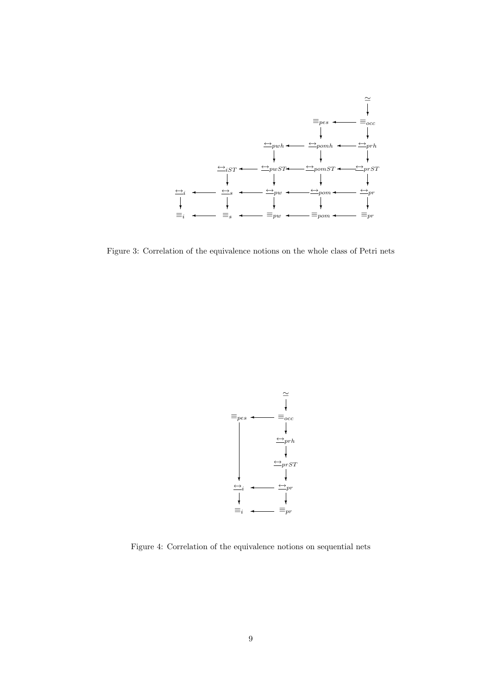

Figure 3: Correlation of the equivalence notions on the whole class of Petri nets



Figure 4: Correlation of the equivalence notions on sequential nets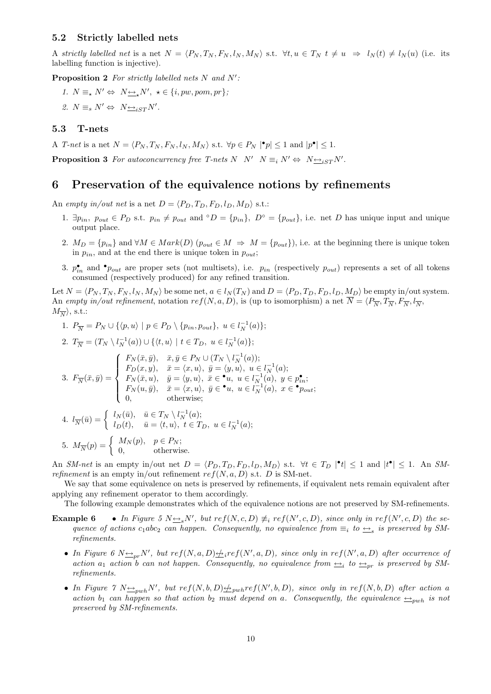### 5.2 Strictly labelled nets

A strictly labelled net is a net  $N = \langle P_N, T_N, F_N, l_N, M_N \rangle$  s.t.  $\forall t, u \in T_N$   $t \neq u \Rightarrow l_N(t) \neq l_N(u)$  (i.e. its labelling function is injective).

**Proposition 2** For strictly labelled nets N and  $N'$ :

1.  $N \equiv_{\star} N' \Leftrightarrow N \rightarrow_{\star} N', \ \star \in \{i, pw, pom, pr\};$ 2.  $N \equiv_s N' \Leftrightarrow N \rightarrow_{iST} N'.$ 

### 5.3 T-nets

A T-net is a net  $N = \langle P_N, T_N, F_N, l_N, M_N \rangle$  s.t.  $\forall p \in P_N \mid \mathbf{P}_p \mid \leq 1$  and  $|p^{\bullet}| \leq 1$ .

**Proposition 3** For autoconcurrency free T-nets  $N \mid N' \mid N \equiv_i N' \Leftrightarrow N \rightarrow_{iST} N'.$ 

# 6 Preservation of the equivalence notions by refinements

An empty in/out net is a net  $D = \langle P_D, T_D, F_D, l_D, M_D \rangle$  s.t.:

- 1.  $\exists p_{in}, p_{out} \in P_D$  s.t.  $p_{in} \neq p_{out}$  and  $\circ D = \{p_{in}\}, D^{\circ} = \{p_{out}\},$  i.e. net D has unique input and unique output place.
- 2.  $M_D = \{p_{in}\}\$ and  $\forall M \in Mark(D)$   $(p_{out} \in M \Rightarrow M = \{p_{out}\}\)$ , i.e. at the beginning there is unique token in  $p_{in}$ , and at the end there is unique token in  $p_{out}$ ;
- 3.  $p_{in}^{\bullet}$  and  $\bullet_{\text{Pout}}$  are proper sets (not multisets), i.e.  $p_{in}$  (respectively  $p_{out}$ ) represents a set of all tokens consumed (respectively produced) for any refined transition.

Let  $N = \langle P_N , T_N , F_N , l_N , M_N \rangle$  be some net,  $a \in l_N (T_N)$  and  $D = \langle P_D , T_D , F_D , l_D , M_D \rangle$  be empty in/out system. An empty in/out refinement, notation  $ref(N, a, D)$ , is (up to isomorphism) a net  $\overline{N} = \langle P_{\overline{N}}, T_{\overline{N}}, F_{\overline{N}}, l_{\overline{N}},$  $M_{\overline{N}}\rangle,$  s.t.:

1.  $P_{\overline{N}} = P_N \cup \{ \langle p, u \rangle \mid p \in P_D \setminus \{ p_{in}, p_{out} \}, u \in l_N^{-1}(a) \};$ 

2. 
$$
T_{\overline{N}} = (T_N \setminus l_{N}^{-1}(a)) \cup \{ \langle t, u \rangle \mid t \in T_D, u \in l_{N}^{-1}(a) \};
$$

3. 
$$
F_{\overline{N}}(\overline{x}, \overline{y}) = \begin{cases} F_N(\overline{x}, \overline{y}), & \overline{x}, \overline{y} \in P_N \cup (T_N \setminus l_N^{-1}(a)); \\ F_D(x, y), & \overline{x} = \langle x, u \rangle, \ \overline{y} = \langle y, u \rangle, \ u \in l_N^{-1}(a); \\ F_N(\overline{x}, u), & \overline{y} = \langle y, u \rangle, \ \overline{x} \in \bullet_u, \ u \in l_N^{-1}(a), \ y \in p_{in}^{\bullet}; \\ F_N(u, \overline{y}), & \overline{x} = \langle x, u \rangle, \ \overline{y} \in \bullet_u, \ u \in l_N^{-1}(a), \ x \in \bullet_{Dout}; \\ 0, & \text{otherwise}; \end{cases}
$$

4. 
$$
l_{\overline{N}}(\overline{u}) = \begin{cases} l_N(\overline{u}), & \overline{u} \in T_N \setminus l_N^{-1}(a); \\ l_D(t), & \overline{u} = \langle t, u \rangle, \ t \in T_D, \ u \in l_N^{-1}(a); \end{cases}
$$

5. 
$$
M_{\overline{N}}(p) = \begin{cases} M_N(p), & p \in P_N; \\ 0, & \text{otherwise.} \end{cases}
$$

An SM-net is an empty in/out net  $D = \langle P_D, T_D, F_D, l_D, M_D \rangle$  s.t.  $\forall t \in T_D \, |\,^{\bullet}t| \leq 1$  and  $|t^{\bullet}| \leq 1$ . An SMrefinement is an empty in/out refinement  $ref(N, a, D)$  s.t. D is SM-net.

We say that some equivalence on nets is preserved by refinements, if equivalent nets remain equivalent after applying any refinement operator to them accordingly.

The following example demonstrates which of the equivalence notions are not preserved by SM-refinements.

- **Example 6** In Figure 5  $N \rightarrow N'$ , but  $ref(N, c, D) \not\equiv_i ref(N', c, D)$ , since only in  $ref(N', c, D)$  the sequence of actions  $c_1abc_2$  can happen. Consequently, no equivalence from  $\equiv_i$  to  $\rightarrow_{s}$  is preserved by SMrefinements.
	- In Figure 6  $N_{\text{Sov}}N'$ , but  $ref(N, a, D) \neq _{if} ef(N', a, D)$ , since only in  $ref(N', a, D)$  after occurrence of action  $a_1$  action b can not happen. Consequently, no equivalence from  $\rightarrow_i$  to  $\rightarrow_{pr}$  is preserved by SMrefinements.
	- In Figure  $\gamma N \rightarrow_{\text{pub}} N'$ , but  $ref(N, b, D) \not\rightarrow_{\text{pub}} ref(N', b, D)$ , since only in  $ref(N, b, D)$  after action a action b<sub>1</sub> can happen so that action b<sub>2</sub> must depend on a. Consequently, the equivalence  $\frac{1}{2}$  is not preserved by SM-refinements.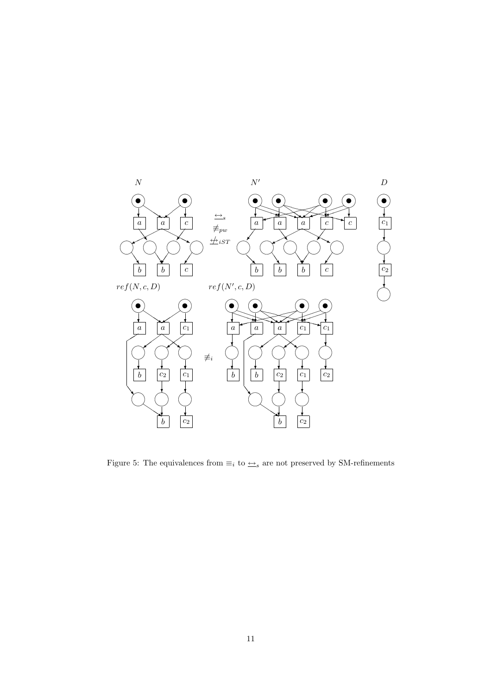

Figure 5: The equivalences from  $\equiv_i$  to  $\underline{\leftrightarrow}_s$  are not preserved by SM-refinements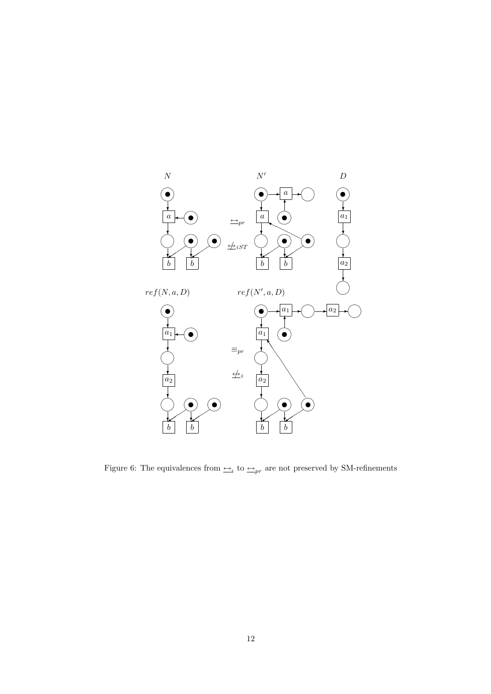

Figure 6: The equivalences from  $\triangleq_i$  to  $\triangleq_{pr}$  are not preserved by SM-refinements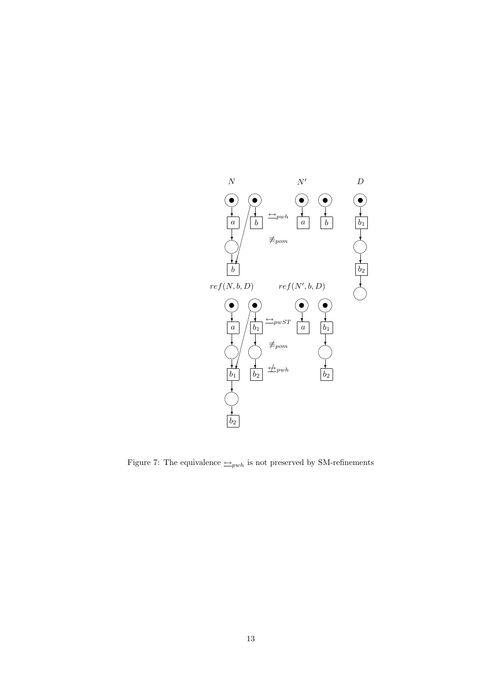

Figure 7: The equivalence  $\leftarrow_{pub}$  is not preserved by SM-refinements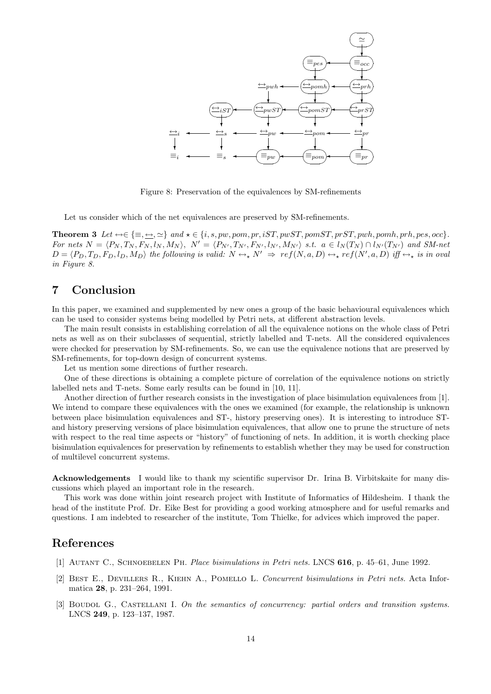

Figure 8: Preservation of the equivalences by SM-refinements

Let us consider which of the net equivalences are preserved by SM-refinements.

Theorem 3 Let  $\leftrightarrow \in \{\equiv, \underline{\leftrightarrow}, \simeq\}$  and  $\star \in \{i, s, pw, pom, pr, iST, pwST, pomST, prST, pwh, pomh, prh, pes, occ\}.$ For nets  $N = \langle P_N, T_N, F_N, l_N, M_N \rangle$ ,  $N' = \langle P_{N'}, T_{N'}, F_{N'}, l_{N'}, M_{N'} \rangle$  s.t.  $a \in l_N(T_N) \cap l_{N'}(T_{N'})$  and SM-net  $D = \langle P_D, T_D, F_D, l_D, M_D \rangle$  the following is valid:  $N \leftrightarrow_N N' \Rightarrow ref(N, a, D) \leftrightarrow_{N} ref(N', a, D)$  iff  $\leftrightarrow_{N}$  is in oval in Figure 8.

# 7 Conclusion

In this paper, we examined and supplemented by new ones a group of the basic behavioural equivalences which can be used to consider systems being modelled by Petri nets, at different abstraction levels.

The main result consists in establishing correlation of all the equivalence notions on the whole class of Petri nets as well as on their subclasses of sequential, strictly labelled and T-nets. All the considered equivalences were checked for preservation by SM-refinements. So, we can use the equivalence notions that are preserved by SM-refinements, for top-down design of concurrent systems.

Let us mention some directions of further research.

One of these directions is obtaining a complete picture of correlation of the equivalence notions on strictly labelled nets and T-nets. Some early results can be found in [10, 11].

Another direction of further research consists in the investigation of place bisimulation equivalences from [1]. We intend to compare these equivalences with the ones we examined (for example, the relationship is unknown between place bisimulation equivalences and ST-, history preserving ones). It is interesting to introduce STand history preserving versions of place bisimulation equivalences, that allow one to prune the structure of nets with respect to the real time aspects or "history" of functioning of nets. In addition, it is worth checking place bisimulation equivalences for preservation by refinements to establish whether they may be used for construction of multilevel concurrent systems.

Acknowledgements I would like to thank my scientific supervisor Dr. Irina B. Virbitskaite for many discussions which played an important role in the research.

This work was done within joint research project with Institute of Informatics of Hildesheim. I thank the head of the institute Prof. Dr. Eike Best for providing a good working atmosphere and for useful remarks and questions. I am indebted to researcher of the institute, Tom Thielke, for advices which improved the paper.

# References

- [1] Autant C., Schnoebelen Ph. Place bisimulations in Petri nets. LNCS 616, p. 45–61, June 1992.
- [2] Best E., Devillers R., Kiehn A., Pomello L. Concurrent bisimulations in Petri nets. Acta Informatica 28, p. 231–264, 1991.
- [3] BOUDOL G., CASTELLANI I. On the semantics of concurrency: partial orders and transition systems. LNCS 249, p. 123–137, 1987.